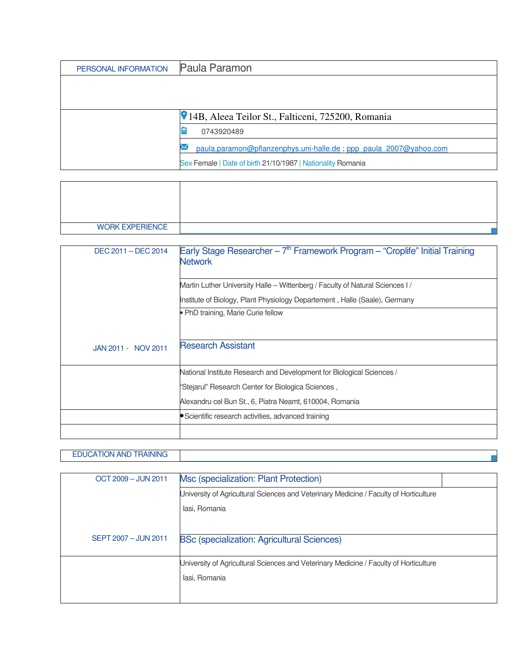| PERSONAL INFORMATION | Paula Paramon                                                     |
|----------------------|-------------------------------------------------------------------|
|                      |                                                                   |
|                      |                                                                   |
|                      | <b>V</b> 14B, Aleea Teilor St., Falticeni, 725200, Romania        |
|                      | 0743920489                                                        |
|                      |                                                                   |
|                      | paula.paramon@pflanzenphys.uni-halle.de; ppp_paula_2007@yahoo.com |
|                      | Sex Female   Date of birth 21/10/1987   Nationality Romania       |

| <b>WORK EXPERIENCE</b> |  |
|------------------------|--|

| DEC 2011 - DEC 2014 | Early Stage Researcher - $7th$ Framework Program - "Croplife" Initial Training<br><b>Network</b> |
|---------------------|--------------------------------------------------------------------------------------------------|
|                     | Martin Luther University Halle – Wittenberg / Faculty of Natural Sciences I                      |
|                     | Institute of Biology, Plant Physiology Departement, Halle (Saale), Germany                       |
|                     | • PhD training, Marie Curie fellow                                                               |
| JAN 2011 - NOV 2011 | <b>Research Assistant</b>                                                                        |
|                     | National Institute Research and Development for Biological Sciences /                            |
|                     | "Stejarul" Research Center for Biologica Sciences,                                               |
|                     | Alexandru cel Bun St., 6, Piatra Neamt, 610004, Romania                                          |
|                     | • Scientific research activities, advanced training                                              |
|                     |                                                                                                  |

## EDUCATION AND TRAINING

| OCT 2009 - JUN 2011  | Msc (specialization: Plant Protection)                                                |  |
|----------------------|---------------------------------------------------------------------------------------|--|
|                      | University of Agricultural Sciences and Veterinary Medicine / Faculty of Horticulture |  |
|                      | lasi, Romania                                                                         |  |
|                      |                                                                                       |  |
| SEPT 2007 - JUN 2011 | <b>BSc (specialization: Agricultural Sciences)</b>                                    |  |
|                      | University of Agricultural Sciences and Veterinary Medicine / Faculty of Horticulture |  |
|                      | lasi, Romania                                                                         |  |
|                      |                                                                                       |  |